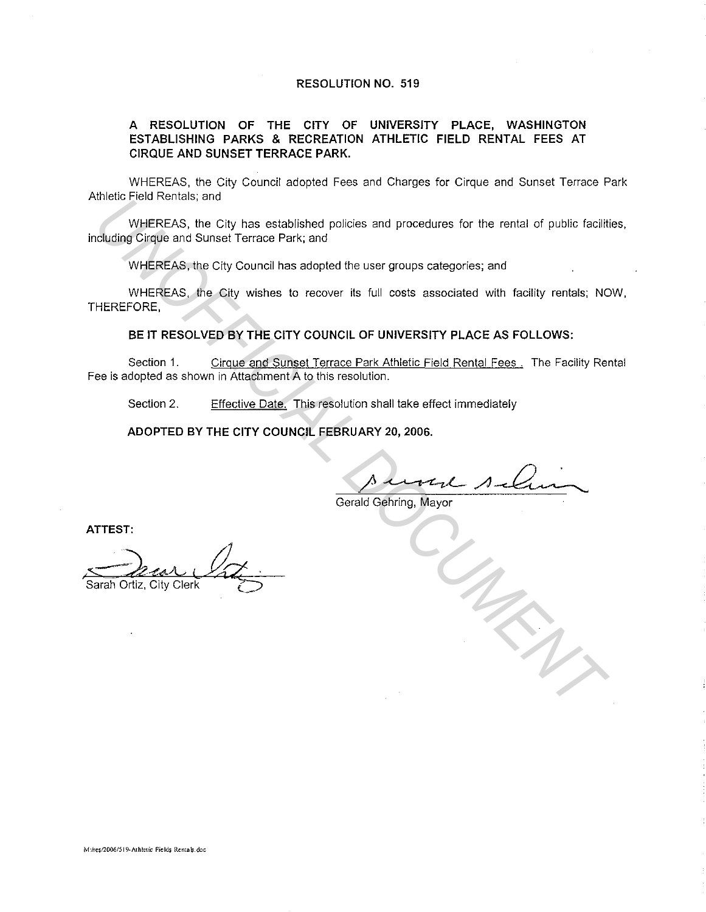#### **RESOLUTION NO. 519**

#### **A RESOLUTION OF THE CITY OF UNIVERSITY PLACE, WASHINGTON ESTABLISHING PARKS & RECREATION ATHLETIC FIELD RENTAL FEES AT CIRQUE AND SUNSET TERRACE PARK.**

WHEREAS, the City Council adopted Fees and Charges for Cirque and Sunset Terrace Park Athletic Field Rentals; and

WHEREAS, the City has established policies and procedures for the rental of public facilities, including Cirque and Sunset Terrace Park; and WebLEREAS, the City has established policies and procedures for the rental of public facility (VigiEREAS, the City council has adopted the user groups categories; and<br>
WHEREAS, the City Council has adopted the user groups

WHEREAS, the City Council has adopted the user groups categories; and

WHEREAS, the City wishes to recover its full costs associated with facility rentals; NOW, THEREFORE,

**BE IT RESOLVED BY THE CITY COUNCIL OF UNIVERSITY PLACE AS FOLLOWS:** 

Section 1. Cirque and Sunset Terrace Park Athletic Field Rental Fees . The Facility Rental Fee is adopted as shown in Attachment A to this resolution.

Section 2. Effective Date. This resolution shall take effect immediately

**ADOPTED BY THE CITY COUNCIL FEBRUARY 20, 2006.** 

 $-l$ 

Gerald Gehring, Mayor

**ATTEST:**